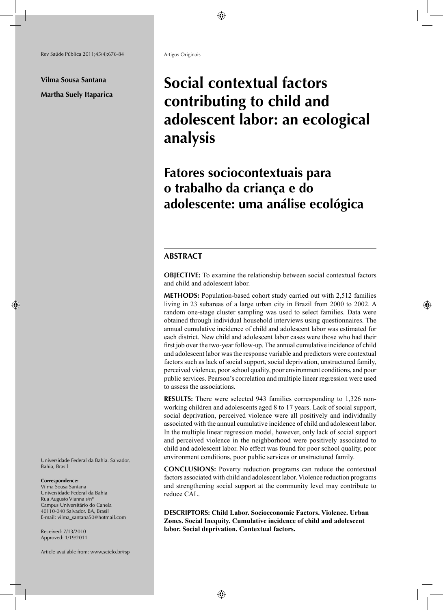**Vilma Sousa Santana Martha Suely Itaparica** Artigos Originais

# **Social contextual factors contributing to child and adolescent labor: an ecological analysis**

# **Fatores sociocontextuais para o trabalho da criança e do adolescente: uma análise ecológica**

## **ABSTRACT**

**OBJECTIVE:** To examine the relationship between social contextual factors and child and adolescent labor.

**METHODS:** Population-based cohort study carried out with 2,512 families living in 23 subareas of a large urban city in Brazil from 2000 to 2002. A random one-stage cluster sampling was used to select families. Data were obtained through individual household interviews using questionnaires. The annual cumulative incidence of child and adolescent labor was estimated for each district. New child and adolescent labor cases were those who had their first job over the two-year follow-up. The annual cumulative incidence of child and adolescent labor was the response variable and predictors were contextual factors such as lack of social support, social deprivation, unstructured family, perceived violence, poor school quality, poor environment conditions, and poor public services. Pearson's correlation and multiple linear regression were used to assess the associations.

**RESULTS:** There were selected 943 families corresponding to 1,326 nonworking children and adolescents aged 8 to 17 years. Lack of social support, social deprivation, perceived violence were all positively and individually associated with the annual cumulative incidence of child and adolescent labor. In the multiple linear regression model, however, only lack of social support and perceived violence in the neighborhood were positively associated to child and adolescent labor. No effect was found for poor school quality, poor environment conditions, poor public services or unstructured family.

**CONCLUSIONS:** Poverty reduction programs can reduce the contextual factors associated with child and adolescent labor. Violence reduction programs and strengthening social support at the community level may contribute to reduce CAL.

**DESCRIPTORS: Child Labor. Socioeconomic Factors. Violence. Urban Zones. Social Inequity. Cumulative incidence of child and adolescent labor. Social deprivation. Contextual factors.**

Universidade Federal da Bahia. Salvador, Bahia, Brasil

#### **Correspondence:**

Vilma Sousa Santana Universidade Federal da Bahia Rua Augusto Vianna s/nº Campus Universitário do Canela 40110-040 Salvador, BA, Brasil E-mail: vilma\_santana50@hotmail.com

Received: 7/13/2010 Approved: 1/19/2011

Article available from: www.scielo.br/rsp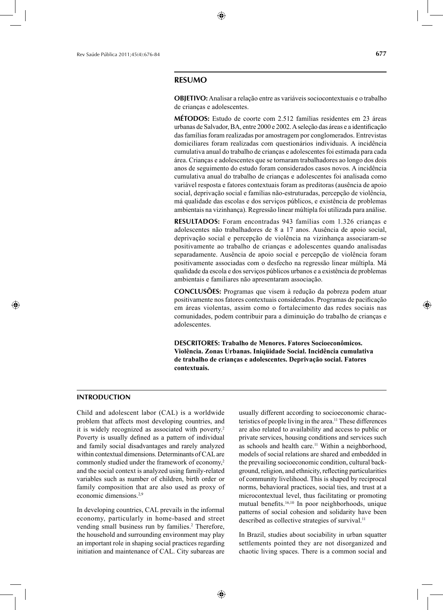#### **RESUMO**

**OBJETIVO:** Analisar a relação entre as variáveis sociocontextuais e o trabalho de crianças e adolescentes.

**MÉTODOS:** Estudo de coorte com 2.512 famílias residentes em 23 áreas urbanas de Salvador, BA, entre 2000 e 2002. A seleção das áreas e a identificação das famílias foram realizadas por amostragem por conglomerados. Entrevistas domiciliares foram realizadas com questionários individuais. A incidência cumulativa anual do trabalho de crianças e adolescentes foi estimada para cada área. Crianças e adolescentes que se tornaram trabalhadores ao longo dos dois anos de seguimento do estudo foram considerados casos novos. A incidência cumulativa anual do trabalho de crianças e adolescentes foi analisada como variável resposta e fatores contextuais foram as preditoras (ausência de apoio social, deprivação social e famílias não-estruturadas, percepção de violência, má qualidade das escolas e dos serviços públicos, e existência de problemas ambientais na vizinhança). Regressão linear múltipla foi utilizada para análise.

**RESULTADOS:** Foram encontradas 943 famílias com 1.326 crianças e adolescentes não trabalhadores de 8 a 17 anos. Ausência de apoio social, deprivação social e percepção de violência na vizinhança associaram-se positivamente ao trabalho de crianças e adolescentes quando analisadas separadamente. Ausência de apoio social e percepção de violência foram positivamente associadas com o desfecho na regressão linear múltipla. Má qualidade da escola e dos serviços públicos urbanos e a existência de problemas ambientais e familiares não apresentaram associação.

**CONCLUSÕES:** Programas que visem à redução da pobreza podem atuar positivamente nos fatores contextuais considerados. Programas de pacificação em áreas violentas, assim como o fortalecimento das redes sociais nas comunidades, podem contribuir para a diminuição do trabalho de crianças e adolescentes.

**DESCRITORES: Trabalho de Menores. Fatores Socioeconômicos. Violência. Zonas Urbanas. Iniqüidade Social. Incidência cumulativa de trabalho de crianças e adolescentes. Deprivação social. Fatores contextuais.**

# **INTRODUCTION**

Child and adolescent labor (CAL) is a worldwide problem that affects most developing countries, and it is widely recognized as associated with poverty.2 Poverty is usually defined as a pattern of individual and family social disadvantages and rarely analyzed within contextual dimensions. Determinants of CAL are commonly studied under the framework of economy,<sup>2</sup> and the social context is analyzed using family-related variables such as number of children, birth order or family composition that are also used as proxy of economic dimensions.<sup>2,9</sup>

In developing countries, CAL prevails in the informal economy, particularly in home-based and street vending small business run by families.<sup>2</sup> Therefore, the household and surrounding environment may play an important role in shaping social practices regarding initiation and maintenance of CAL. City subareas are

usually different according to socioeconomic characteristics of people living in the area.11 These differences are also related to availability and access to public or private services, housing conditions and services such as schools and health care.<sup>11</sup> Within a neighborhood, models of social relations are shared and embedded in the prevailing socioeconomic condition, cultural background, religion, and ethnicity, reflecting particularities of community livelihood. This is shaped by reciprocal norms, behavioral practices, social ties, and trust at a microcontextual level, thus facilitating or promoting mutual benefits.<sup>16,10</sup> In poor neighborhoods, unique patterns of social cohesion and solidarity have been described as collective strategies of survival.<sup>11</sup>

In Brazil, studies about sociability in urban squatter settlements pointed they are not disorganized and chaotic living spaces. There is a common social and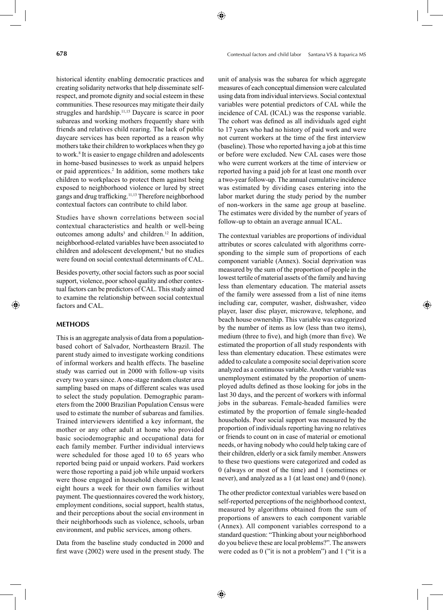historical identity enabling democratic practices and creating solidarity networks that help disseminate selfrespect, and promote dignity and social esteem in these communities. These resources may mitigate their daily struggles and hardship.<sup>11,15</sup> Daycare is scarce in poor subareas and working mothers frequently share with friends and relatives child rearing. The lack of public daycare services has been reported as a reason why mothers take their children to workplaces when they go to work.<sup>8</sup> It is easier to engage children and adolescents in home-based businesses to work as unpaid helpers or paid apprentices.<sup>2</sup> In addition, some mothers take children to workplaces to protect them against being exposed to neighborhood violence or lured by street gangs and drug trafficking.<sup>11,13</sup> Therefore neighborhood contextual factors can contribute to child labor.

Studies have shown correlations between social contextual characteristics and health or well-being outcomes among adults<sup>3</sup> and children.<sup>12</sup> In addition, neighborhood-related variables have been associated to children and adolescent development,<sup>4</sup> but no studies were found on social contextual determinants of CAL.

Besides poverty, other social factors such as poor social support, violence, poor school quality and other contextual factors can be predictors of CAL. This study aimed to examine the relationship between social contextual factors and CAL.

#### **METHODS**

This is an aggregate analysis of data from a populationbased cohort of Salvador, Northeastern Brazil. The parent study aimed to investigate working conditions of informal workers and health effects. The baseline study was carried out in 2000 with follow-up visits every two years since. A one-stage random cluster area sampling based on maps of different scales was used to select the study population. Demographic parameters from the 2000 Brazilian Population Census were used to estimate the number of subareas and families. Trained interviewers identified a key informant, the mother or any other adult at home who provided basic sociodemographic and occupational data for each family member. Further individual interviews were scheduled for those aged 10 to 65 years who reported being paid or unpaid workers. Paid workers were those reporting a paid job while unpaid workers were those engaged in household chores for at least eight hours a week for their own families without payment. The questionnaires covered the work history, employment conditions, social support, health status, and their perceptions about the social environment in their neighborhoods such as violence, schools, urban environment, and public services, among others.

Data from the baseline study conducted in 2000 and first wave  $(2002)$  were used in the present study. The unit of analysis was the subarea for which aggregate measures of each conceptual dimension were calculated using data from individual interviews. Social contextual variables were potential predictors of CAL while the incidence of CAL (ICAL) was the response variable. The cohort was defined as all individuals aged eight to 17 years who had no history of paid work and were not current workers at the time of the first interview (baseline). Those who reported having a job at this time or before were excluded. New CAL cases were those who were current workers at the time of interview or reported having a paid job for at least one month over a two-year follow-up. The annual cumulative incidence was estimated by dividing cases entering into the labor market during the study period by the number of non-workers in the same age group at baseline. The estimates were divided by the number of years of follow-up to obtain an average annual ICAL.

The contextual variables are proportions of individual attributes or scores calculated with algorithms corresponding to the simple sum of proportions of each component variable (Annex). Social deprivation was measured by the sum of the proportion of people in the lowest tertile of material assets of the family and having less than elementary education. The material assets of the family were assessed from a list of nine items including car, computer, washer, dishwasher, video player, laser disc player, microwave, telephone, and beach house ownership. This variable was categorized by the number of items as low (less than two items), medium (three to five), and high (more than five). We estimated the proportion of all study respondents with less than elementary education. These estimates were added to calculate a composite social deprivation score analyzed as a continuous variable. Another variable was unemployment estimated by the proportion of unemployed adults defined as those looking for jobs in the last 30 days, and the percent of workers with informal jobs in the subareas. Female-headed families were estimated by the proportion of female single-headed households. Poor social support was measured by the proportion of individuals reporting having no relatives or friends to count on in case of material or emotional needs, or having nobody who could help taking care of their children, elderly or a sick family member. Answers to these two questions were categorized and coded as 0 (always or most of the time) and 1 (sometimes or never), and analyzed as a 1 (at least one) and 0 (none).

The other predictor contextual variables were based on self-reported perceptions of the neighborhood context, measured by algorithms obtained from the sum of proportions of answers to each component variable (Annex). All component variables correspond to a standard question: "Thinking about your neighborhood do you believe these are local problems?". The answers were coded as 0 ("it is not a problem") and 1 ("it is a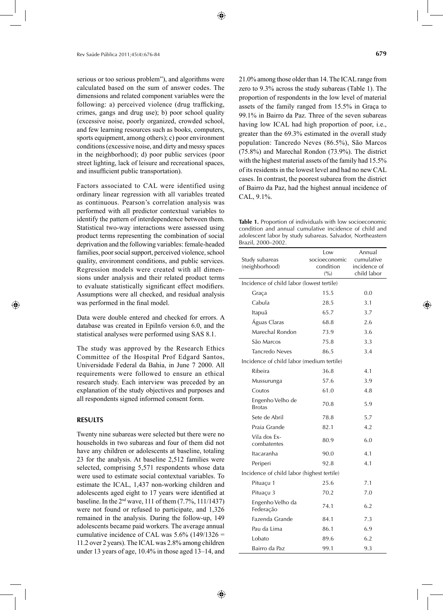serious or too serious problem"), and algorithms were calculated based on the sum of answer codes. The dimensions and related component variables were the following: a) perceived violence (drug trafficking, crimes, gangs and drug use); b) poor school quality (excessive noise, poorly organized, crowded school, and few learning resources such as books, computers, sports equipment, among others); c) poor environment conditions (excessive noise, and dirty and messy spaces in the neighborhood); d) poor public services (poor street lighting, lack of leisure and recreational spaces, and insufficient public transportation).

Factors associated to CAL were identified using ordinary linear regression with all variables treated as continuous. Pearson's correlation analysis was performed with all predictor contextual variables to identify the pattern of interdependence between them. Statistical two-way interactions were assessed using product terms representing the combination of social deprivation and the following variables: female-headed families, poor social support, perceived violence, school quality, environment conditions, and public services. Regression models were created with all dimensions under analysis and their related product terms to evaluate statistically significant effect modifiers. Assumptions were all checked, and residual analysis was performed in the final model.

Data were double entered and checked for errors. A database was created in EpiInfo version 6.0, and the statistical analyses were performed using SAS 8.1.

The study was approved by the Research Ethics Committee of the Hospital Prof Edgard Santos, Universidade Federal da Bahia, in June 7 2000. All requirements were followed to ensure an ethical research study. Each interview was preceded by an explanation of the study objectives and purposes and all respondents signed informed consent form.

#### **RESULTS**

Twenty nine subareas were selected but there were no households in two subareas and four of them did not have any children or adolescents at baseline, totaling 23 for the analysis. At baseline 2,512 families were selected, comprising 5,571 respondents whose data were used to estimate social contextual variables. To estimate the ICAL, 1,437 non-working children and adolescents aged eight to 17 years were identified at baseline. In the 2nd wave, 111 of them (7.7%, 111/1437) were not found or refused to participate, and 1,326 remained in the analysis. During the follow-up, 149 adolescents became paid workers. The average annual cumulative incidence of CAL was  $5.6\%$  (149/1326 = 11.2 over 2 years). The ICAL was 2.8% among children under 13 years of age, 10.4% in those aged 13–14, and 21.0% among those older than 14. The ICAL range from zero to 9.3% across the study subareas (Table 1). The proportion of respondents in the low level of material assets of the family ranged from 15.5% in Graça to 99.1% in Bairro da Paz. Three of the seven subareas having low ICAL had high proportion of poor, i.e., greater than the 69.3% estimated in the overall study population: Tancredo Neves (86.5%), São Marcos (75.8%) and Marechal Rondon (73.9%). The district with the highest material assets of the family had 15.5% of its residents in the lowest level and had no new CAL cases. In contrast, the poorest subarea from the district of Bairro da Paz, had the highest annual incidence of CAL, 9.1%.

**Table 1.** Proportion of individuals with low socioeconomic condition and annual cumulative incidence of child and adolescent labor by study subareas. Salvador, Northeastern Brazil, 2000–2002.

| Study subareas<br>(neighborhood)           | Low<br>socioeconomic<br>condition<br>(9/0) | Annual<br>cumulative<br>incidence of<br>child labor |
|--------------------------------------------|--------------------------------------------|-----------------------------------------------------|
| Incidence of child labor (lowest tertile)  |                                            |                                                     |
| Graça                                      | 15.5                                       | 0.0                                                 |
| Cabula                                     | 28.5                                       | 3.1                                                 |
| Itapuã                                     | 65.7                                       | 3.7                                                 |
| Águas Claras                               | 68.8                                       | 2.6                                                 |
| Marechal Rondon                            | 73.9                                       | 3.6                                                 |
| São Marcos                                 | 75.8                                       | 3.3                                                 |
| Tancredo Neves                             | 86.5                                       | 3.4                                                 |
| Incidence of child labor (medium tertile)  |                                            |                                                     |
| Ribeira                                    | 36.8                                       | 4.1                                                 |
| Mussurunga                                 | 57.6                                       | 3.9                                                 |
| Coutos                                     | 61.0                                       | 4.8                                                 |
| Engenho Velho de<br><b>Brotas</b>          | 70.8                                       | 5.9                                                 |
| Sete de Abril                              | 78.8                                       | 5.7                                                 |
| Praia Grande                               | 82.1                                       | 4.2                                                 |
| Vila dos Ex-<br>combatentes                | 80.9                                       | 6.0                                                 |
| Itacaranha                                 | 90.0                                       | 4.1                                                 |
| Periperi                                   | 92.8                                       | 4.1                                                 |
| Incidence of child labor (highest tertile) |                                            |                                                     |
| Pituaçu 1                                  | 25.6                                       | 7.1                                                 |
| Pituaçu 3                                  | 70.2                                       | 7.0                                                 |
| Engenho Velho da<br>Federação              | 74.1                                       | 6.2                                                 |
| Fazenda Grande                             | 84.1                                       | 7.3                                                 |
| Pau da Lima                                | 86.1                                       | 6.9                                                 |
| Lobato                                     | 89.6                                       | 6.2                                                 |
| Bairro da Paz                              | 99.1                                       | 9.3                                                 |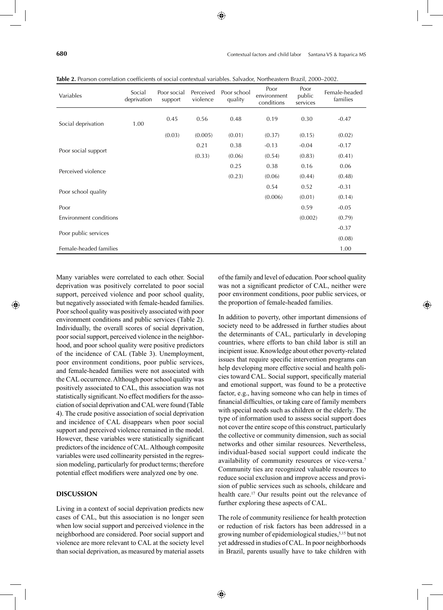| Variables                     | Social<br>deprivation | Poor social<br>support | Perceived<br>violence | Poor school<br>quality | Poor<br>environment<br>conditions | Poor<br>public<br>services | Female-headed<br>families |
|-------------------------------|-----------------------|------------------------|-----------------------|------------------------|-----------------------------------|----------------------------|---------------------------|
| Social deprivation            | 1.00                  | 0.45                   | 0.56                  | 0.48                   | 0.19                              | 0.30                       | $-0.47$                   |
|                               |                       | (0.03)                 | (0.005)               | (0.01)                 | (0.37)                            | (0.15)                     | (0.02)                    |
| Poor social support           |                       |                        | 0.21                  | 0.38                   | $-0.13$                           | $-0.04$                    | $-0.17$                   |
|                               |                       |                        | (0.33)                | (0.06)                 | (0.54)                            | (0.83)                     | (0.41)                    |
| Perceived violence            |                       |                        |                       | 0.25                   | 0.38                              | 0.16                       | 0.06                      |
|                               |                       |                        |                       | (0.23)                 | (0.06)                            | (0.44)                     | (0.48)                    |
| Poor school quality           |                       |                        |                       |                        | 0.54                              | 0.52                       | $-0.31$                   |
|                               |                       |                        |                       |                        | (0.006)                           | (0.01)                     | (0.14)                    |
| Poor                          |                       |                        |                       |                        |                                   | 0.59                       | $-0.05$                   |
| <b>Environment conditions</b> |                       |                        |                       |                        |                                   | (0.002)                    | (0.79)                    |
| Poor public services          |                       |                        |                       |                        |                                   |                            | $-0.37$                   |
|                               |                       |                        |                       |                        |                                   |                            | (0.08)                    |
| Female-headed families        |                       |                        |                       |                        |                                   |                            | 1.00                      |

Table 2. Pearson correlation coefficients of social contextual variables. Salvador, Northeastern Brazil, 2000–2002.

Many variables were correlated to each other. Social deprivation was positively correlated to poor social support, perceived violence and poor school quality, but negatively associated with female-headed families. Poor school quality was positively associated with poor environment conditions and public services (Table 2). Individually, the overall scores of social deprivation, poor social support, perceived violence in the neighborhood, and poor school quality were positive predictors of the incidence of CAL (Table 3). Unemployment, poor environment conditions, poor public services, and female-headed families were not associated with the CAL occurrence. Although poor school quality was positively associated to CAL, this association was not statistically significant. No effect modifiers for the association of social deprivation and CAL were found (Table 4). The crude positive association of social deprivation and incidence of CAL disappears when poor social support and perceived violence remained in the model. However, these variables were statistically significant predictors of the incidence of CAL. Although composite variables were used collinearity persisted in the regression modeling, particularly for product terms; therefore potential effect modifiers were analyzed one by one.

## **DISCUSSION**

Living in a context of social deprivation predicts new cases of CAL, but this association is no longer seen when low social support and perceived violence in the neighborhood are considered. Poor social support and violence are more relevant to CAL at the society level than social deprivation, as measured by material assets of the family and level of education. Poor school quality was not a significant predictor of CAL, neither were poor environment conditions, poor public services, or the proportion of female-headed families.

In addition to poverty, other important dimensions of society need to be addressed in further studies about the determinants of CAL, particularly in developing countries, where efforts to ban child labor is still an incipient issue. Knowledge about other poverty-related issues that require specific intervention programs can help developing more effective social and health policies toward CAL. Social support, specifically material and emotional support, was found to be a protective factor, e.g., having someone who can help in times of financial difficulties, or taking care of family members with special needs such as children or the elderly. The type of information used to assess social support does not cover the entire scope of this construct, particularly the collective or community dimension, such as social networks and other similar resources. Nevertheless, individual-based social support could indicate the availability of community resources or vice-versa.<sup>7</sup> Community ties are recognized valuable resources to reduce social exclusion and improve access and provision of public services such as schools, childcare and health care.<sup>17</sup> Our results point out the relevance of further exploring these aspects of CAL.

The role of community resilience for health protection or reduction of risk factors has been addressed in a growing number of epidemiological studies,<sup>5,15</sup> but not yet addressed in studies of CAL. In poor neighborhoods in Brazil, parents usually have to take children with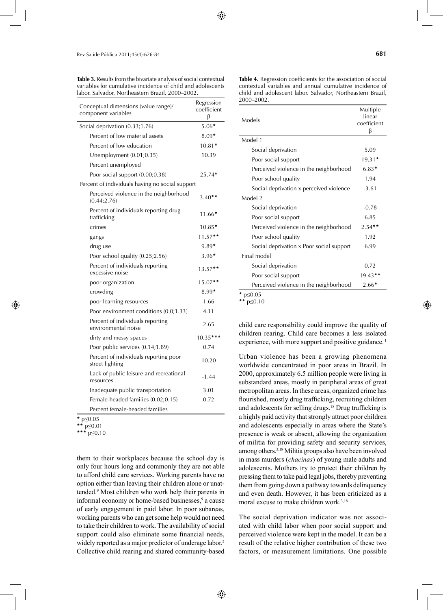**Table 3.** Results from the bivariate analysis of social contextual variables for cumulative incidence of child and adolescents labor. Salvador, Northeastern Brazil, 2000–2002.

| Conceptual dimensions (value range)/<br>component variables | Regression<br>coefficient<br>β |
|-------------------------------------------------------------|--------------------------------|
| Social deprivation (0.33;1.76)                              | $5.06*$                        |
| Percent of low material assets                              | $8.09*$                        |
| Percent of low education                                    | $10.81*$                       |
| Unemployment $(0.01;0.35)$                                  | 10.39                          |
| Percent unemployed                                          |                                |
| Poor social support (0.00;0.38)                             | 25.74*                         |
| Percent of individuals having no social support             |                                |
| Perceived violence in the neighborhood<br>(0.44; 2.76)      | $3.40**$                       |
| Percent of individuals reporting drug<br>trafficking        | $11.66*$                       |
| crimes                                                      | $10.85*$                       |
| gangs                                                       | $11.57**$                      |
| drug use                                                    | $9.89*$                        |
| Poor school quality (0.25;2.56)                             | $3.96*$                        |
| Percent of individuals reporting<br>excessive noise         | $13.57**$                      |
| poor organization                                           | $15.07**$                      |
| crowding                                                    | $8.99*$                        |
| poor learning resources                                     | 1.66                           |
| Poor environment conditions (0.0;1.33)                      | 4.11                           |
| Percent of individuals reporting<br>environmental noise     | 2.65                           |
| dirty and messy spaces                                      | $10.35***$                     |
| Poor public services (0.14;1.89)                            | 0.74                           |
| Percent of individuals reporting poor<br>street lighting    | 10.20                          |
| Lack of public leisure and recreational<br>resources        | $-1.44$                        |
| Inadequate public transportation                            | 3.01                           |
| Female-headed families (0.02;0.15)                          | 0.72                           |
| Percent female-headed families                              |                                |

<sup>\*</sup> p≤0.05

\*\*\* p≤0.10

them to their workplaces because the school day is only four hours long and commonly they are not able to afford child care services. Working parents have no option either than leaving their children alone or unattended.9 Most children who work help their parents in informal economy or home-based businesses,<sup>9</sup> a cause of early engagement in paid labor. In poor subareas, working parents who can get some help would not need to take their children to work. The availability of social support could also eliminate some financial needs, widely reported as a major predictor of underage labor.<sup>2</sup> Collective child rearing and shared community-based

Table 4. Regression coefficients for the association of social contextual variables and annual cumulative incidence of child and adolescent labor. Salvador, Northeastern Brazil, 2000–2002.

| Models                                   | Multiple<br>linear<br>coefficient<br>ß |
|------------------------------------------|----------------------------------------|
| Model 1                                  |                                        |
| Social deprivation                       | 5.09                                   |
| Poor social support                      | $19.31*$                               |
| Perceived violence in the neighborhood   | $6.83*$                                |
| Poor school quality                      | 1.94                                   |
| Social deprivation x perceived violence  | $-3.61$                                |
| Model 2                                  |                                        |
| Social deprivation                       | $-0.78$                                |
| Poor social support                      | 6.85                                   |
| Perceived violence in the neighborhood   | $2.54***$                              |
| Poor school quality                      | 1.92                                   |
| Social deprivation x Poor social support | 6.99                                   |
| Final model                              |                                        |
| Social deprivation                       | 0.72                                   |
| Poor social support                      | $19.43$ **                             |
| Perceived violence in the neighborhood   | $2.66*$                                |

 $p \le 0.10$ 

child care responsibility could improve the quality of children rearing. Child care becomes a less isolated experience, with more support and positive guidance.<sup>1</sup>

Urban violence has been a growing phenomena worldwide concentrated in poor areas in Brazil. In 2000, approximately 6.5 million people were living in substandard areas, mostly in peripheral areas of great metropolitan areas. In these areas, organized crime has flourished, mostly drug trafficking, recruiting children and adolescents for selling drugs.<sup>18</sup> Drug trafficking is a highly paid activity that strongly attract poor children and adolescents especially in areas where the State's presence is weak or absent, allowing the organization of militia for providing safety and security services, among others.3,18 Militia groups also have been involved in mass murders (*chacinas*) of young male adults and adolescents. Mothers try to protect their children by pressing them to take paid legal jobs, thereby preventing them from going down a pathway towards delinquency and even death. However, it has been criticized as a moral excuse to make children work.<sup>3,18</sup>

The social deprivation indicator was not associated with child labor when poor social support and perceived violence were kept in the model. It can be a result of the relative higher contribution of these two factors, or measurement limitations. One possible

<sup>\*\*</sup> p≤0.01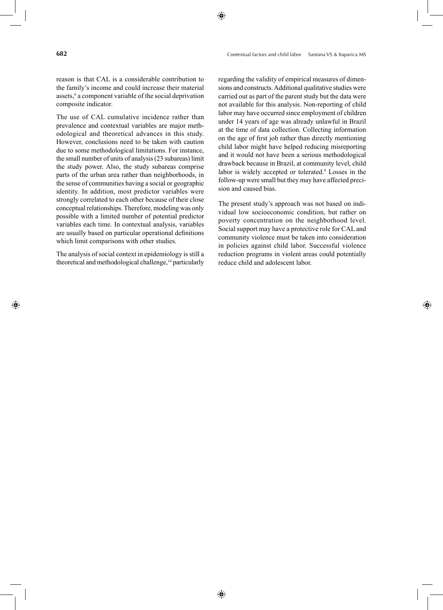reason is that CAL is a considerable contribution to the family's income and could increase their material assets,<sup>6</sup> a component variable of the social deprivation composite indicator.

The use of CAL cumulative incidence rather than prevalence and contextual variables are major methodological and theoretical advances in this study. However, conclusions need to be taken with caution due to some methodological limitations. For instance, the small number of units of analysis (23 subareas) limit the study power. Also, the study subareas comprise parts of the urban area rather than neighborhoods, in the sense of communities having a social or geographic identity. In addition, most predictor variables were strongly correlated to each other because of their close conceptual relationships. Therefore, modeling was only possible with a limited number of potential predictor variables each time. In contextual analysis, variables are usually based on particular operational definitions which limit comparisons with other studies.

The analysis of social context in epidemiology is still a theoretical and methodological challenge,<sup>14</sup> particularly regarding the validity of empirical measures of dimensions and constructs. Additional qualitative studies were carried out as part of the parent study but the data were not available for this analysis. Non-reporting of child labor may have occurred since employment of children under 14 years of age was already unlawful in Brazil at the time of data collection. Collecting information on the age of first job rather than directly mentioning child labor might have helped reducing misreporting and it would not have been a serious methodological drawback because in Brazil, at community level, child labor is widely accepted or tolerated.9 Losses in the follow-up were small but they may have affected precision and caused bias.

The present study's approach was not based on individual low socioeconomic condition, but rather on poverty concentration on the neighborhood level. Social support may have a protective role for CAL and community violence must be taken into consideration in policies against child labor. Successful violence reduction programs in violent areas could potentially reduce child and adolescent labor.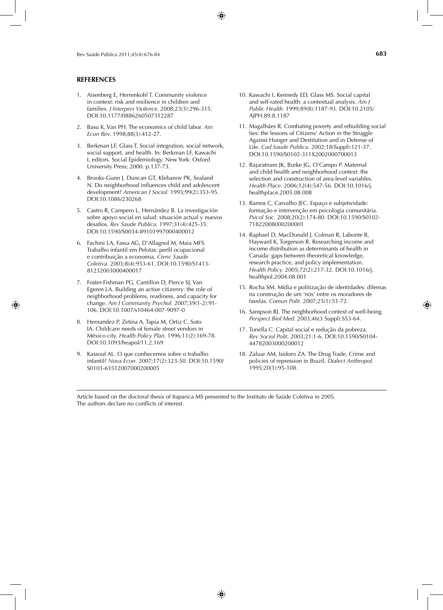#### **REFERENCES**

- 1. Aisenberg E, Herrenkohl T. Community violence in context: risk and resilience in children and families. *J Interpers Violence.* 2008;23(3):296-315. DOI:10.1177/0886260507312287
- 2. Basu K, Van PH. The economics of child labor. *Am Econ Rev.* 1998;88(3):412-27.
- 3. Berkman LF, Glass T. Social integration, social network, social support, and health. In: Berkman LF, Kawachi I, editors. Social Epidemiology. New York: Oxford University Press; 2000. p.137-73.
- 4. Brooks-Gunn J, Duncan GT, Klebanov PK, Sealand N. Do neighborhood influences child and adolescent development? *American J Sociol.* 1993;99(2):353-95. DOI:10.1086/230268
- 5. Castro R, Campero L, Hernández B. La investigación sobre apoyo social en salud: situación actual y nuevos desafíos. *Rev Saude Publica.* 1997;31(4):425-35. DOI:10.1590/S0034-89101997000400012
- 6. Fachini LA, Fassa AG, D'Allagnol M, Maia MFS. Trabalho infantil em Pelotas: perfil ocupacional e contribuição a economia. *Cienc Saude Coletiva.* 2003;8(4):953-61. DOI:10.1590/S1413- 81232003000400017
- 7. Foster-Fishman PG, Cantillon D, Pierce SJ, Van Egeren LA. Building an active citizenry: the role of neighborhood problems, readiness, and capacity for change. *Am J Community Psychol.* 2007;39(1-2):91- 106. DOI:10.1007/s10464-007-9097-0
- 8. Hernandez P, Zetina A, Tapia M, Ortiz C, Soto IA. Childcare needs of female street vendors in México city. *Health Policy Plan.* 1996;11(2):169-78. DOI:10.1093/heapol/11.2.169
- 9. Kassouf AL. O que conhecemos sobre o trabalho infantil? *Nova Econ.* 2007;17(2):323-50. DOI:10.1590/ S0103-63512007000200005
- 10. Kawachi I, Kennedy ED, Glass MS. Social capital and self-rated health: a contextual analysis. *Am J Public Health.* 1999;89(8):1187-93. DOI:10.2105/ AJPH.89.8.1187
- 11. Magalhães R. Combating poverty and rebuilding social ties: the lessons of Citizens' Action in the Struggle Against Hunger and Destitution and in Defense of Life. *Cad Saude Publica.* 2002;18(Suppl):121-37. DOI:10.1590/S0102-311X2002000700013
- 12. Rajaratnam JK, Burke JG, O'Campo P. Maternal and child health and neighborhood context: the selection and construction of area-level variables. *Health Place.* 2006;12(4):547-56. DOI:10.1016/j. healthplace.2005.08.008
- 13. Ramos C, Carvalho JEC. Espaço e subjetividade: formação e intervenção em psicologia comunitária. *Psicol Soc.* 2008;20(2):174-80. DOI:10.1590/S0102- 71822008000200001
- 14. Raphael D, MacDonald J, Colman R, Labonte R, Hayward K, Torgerson R. Researching income and income distribution as determinants of health in Canada: gaps between theoretical knowledge, research practice, and policy implementation. *Health Policy.* 2005;72(2):217-32. DOI:10.1016/j. healthpol.2004.08.001
- 15. Rocha SM. Mídia e politização de identidades: dilemas na construção de um 'nós' entre os moradores de favelas. *Comun Polit.* 2007;25(1):51-72.
- 16. Sampson RJ. The neighborhood context of well-being. *Perspect Biol Med.* 2003;46(3 Suppl):S53-64.
- 17. Tonella C. Capital social e redução da pobreza. *Rev Sociol Polit.* 2003;21:1-6. DOI:10.1590/S0104- 44782003000200012
- 18. Zaluar AM, Isidoro ZA. The Drug Trade, Crime and policies of repression in Brazil. *Dialect Anthropol.*  1995;20(1):95-108.

Article based on the doctoral thesis of Itaparica MS presented to the Instituto de Saúde Coletiva in 2005. The authors declare no conflicts of interest.